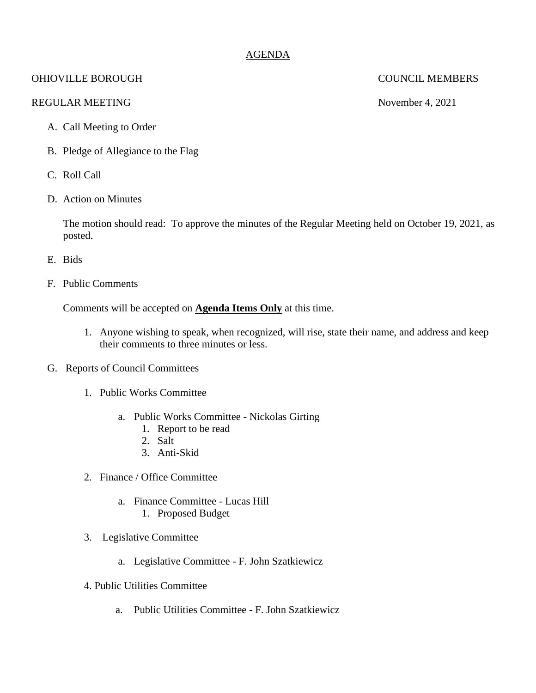## AGENDA

# OHIOVILLE BOROUGH COUNCIL MEMBERS

### REGULAR MEETING November 4, 2021

- A. Call Meeting to Order
- B. Pledge of Allegiance to the Flag
- C. Roll Call
- D. Action on Minutes

The motion should read: To approve the minutes of the Regular Meeting held on October 19, 2021, as posted.

- E. Bids
- F. Public Comments

Comments will be accepted on **Agenda Items Only** at this time.

- 1. Anyone wishing to speak, when recognized, will rise, state their name, and address and keep their comments to three minutes or less.
- G. Reports of Council Committees
	- 1. Public Works Committee
		- a. Public Works Committee Nickolas Girting
			- 1. Report to be read
			- 2. Salt
			- 3. Anti-Skid
	- 2. Finance / Office Committee
		- a. Finance Committee Lucas Hill
			- 1. Proposed Budget
	- 3. Legislative Committee
		- a. Legislative Committee F. John Szatkiewicz
	- 4. Public Utilities Committee
		- a. Public Utilities Committee F. John Szatkiewicz